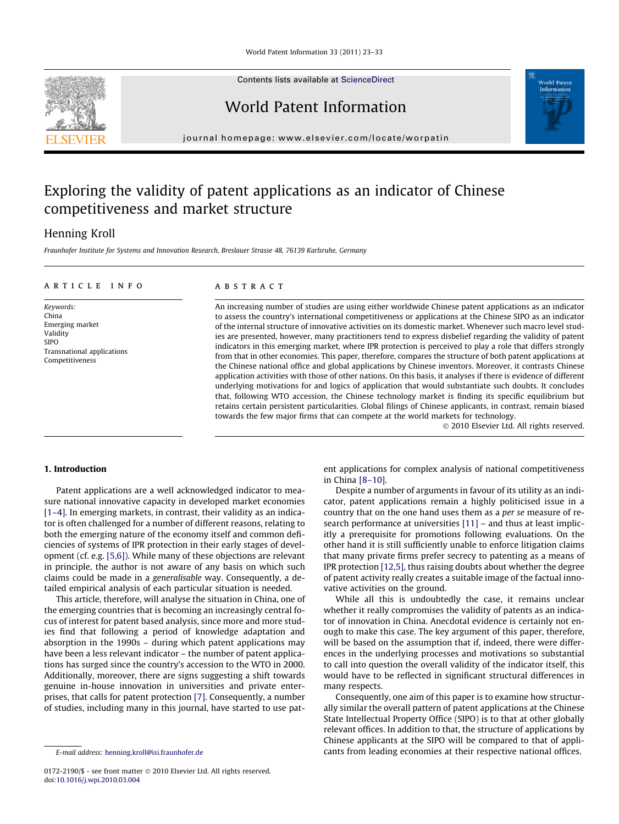Contents lists available at [ScienceDirect](http://www.sciencedirect.com/science/journal/01722190)

## World Patent Information

journal homepage: [www.elsevier.com/locate/worpatin](http://www.elsevier.com/locate/worpatin)

## Exploring the validity of patent applications as an indicator of Chinese competitiveness and market structure

### Henning Kroll

Fraunhofer Institute for Systems and Innovation Research, Breslauer Strasse 48, 76139 Karlsruhe, Germany

#### article info

Keywords: China Emerging market Validity SIPO Transnational applications Competitiveness

#### ABSTRACT

An increasing number of studies are using either worldwide Chinese patent applications as an indicator to assess the country's international competitiveness or applications at the Chinese SIPO as an indicator of the internal structure of innovative activities on its domestic market. Whenever such macro level studies are presented, however, many practitioners tend to express disbelief regarding the validity of patent indicators in this emerging market, where IPR protection is perceived to play a role that differs strongly from that in other economies. This paper, therefore, compares the structure of both patent applications at the Chinese national office and global applications by Chinese inventors. Moreover, it contrasts Chinese application activities with those of other nations. On this basis, it analyses if there is evidence of different underlying motivations for and logics of application that would substantiate such doubts. It concludes that, following WTO accession, the Chinese technology market is finding its specific equilibrium but retains certain persistent particularities. Global filings of Chinese applicants, in contrast, remain biased towards the few major firms that can compete at the world markets for technology.

- 2010 Elsevier Ltd. All rights reserved.

**World Patent** Information

#### 1. Introduction

Patent applications are a well acknowledged indicator to measure national innovative capacity in developed market economies [\[1–4\].](#page--1-0) In emerging markets, in contrast, their validity as an indicator is often challenged for a number of different reasons, relating to both the emerging nature of the economy itself and common deficiencies of systems of IPR protection in their early stages of development (cf. e.g. [\[5,6\]](#page--1-0)). While many of these objections are relevant in principle, the author is not aware of any basis on which such claims could be made in a generalisable way. Consequently, a detailed empirical analysis of each particular situation is needed.

This article, therefore, will analyse the situation in China, one of the emerging countries that is becoming an increasingly central focus of interest for patent based analysis, since more and more studies find that following a period of knowledge adaptation and absorption in the 1990s – during which patent applications may have been a less relevant indicator – the number of patent applications has surged since the country's accession to the WTO in 2000. Additionally, moreover, there are signs suggesting a shift towards genuine in-house innovation in universities and private enterprises, that calls for patent protection [\[7\]](#page--1-0). Consequently, a number of studies, including many in this journal, have started to use patent applications for complex analysis of national competitiveness in China [\[8–10\].](#page--1-0)

Despite a number of arguments in favour of its utility as an indicator, patent applications remain a highly politicised issue in a country that on the one hand uses them as a per se measure of research performance at universities [\[11\]](#page--1-0) – and thus at least implicitly a prerequisite for promotions following evaluations. On the other hand it is still sufficiently unable to enforce litigation claims that many private firms prefer secrecy to patenting as a means of IPR protection [\[12,5\],](#page--1-0) thus raising doubts about whether the degree of patent activity really creates a suitable image of the factual innovative activities on the ground.

While all this is undoubtedly the case, it remains unclear whether it really compromises the validity of patents as an indicator of innovation in China. Anecdotal evidence is certainly not enough to make this case. The key argument of this paper, therefore, will be based on the assumption that if, indeed, there were differences in the underlying processes and motivations so substantial to call into question the overall validity of the indicator itself, this would have to be reflected in significant structural differences in many respects.

Consequently, one aim of this paper is to examine how structurally similar the overall pattern of patent applications at the Chinese State Intellectual Property Office (SIPO) is to that at other globally relevant offices. In addition to that, the structure of applications by Chinese applicants at the SIPO will be compared to that of applicants from leading economies at their respective national offices.



E-mail address: [henning.kroll@isi.fraunhofer.de](mailto:henning.kroll@isi.fraunhofer.de)

<sup>0172-2190/\$ -</sup> see front matter © 2010 Elsevier Ltd. All rights reserved. doi[:10.1016/j.wpi.2010.03.004](http://dx.doi.org/10.1016/j.wpi.2010.03.004)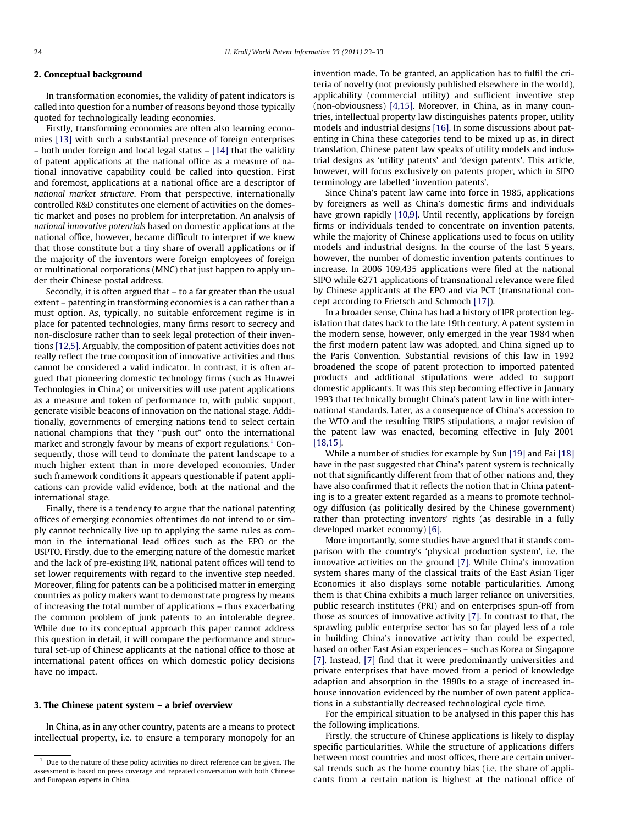#### 2. Conceptual background

In transformation economies, the validity of patent indicators is called into question for a number of reasons beyond those typically quoted for technologically leading economies.

Firstly, transforming economies are often also learning economies [\[13\]](#page--1-0) with such a substantial presence of foreign enterprises – both under foreign and local legal status – [\[14\]](#page--1-0) that the validity of patent applications at the national office as a measure of national innovative capability could be called into question. First and foremost, applications at a national office are a descriptor of national market structure. From that perspective, internationally controlled R&D constitutes one element of activities on the domestic market and poses no problem for interpretation. An analysis of national innovative potentials based on domestic applications at the national office, however, became difficult to interpret if we knew that those constitute but a tiny share of overall applications or if the majority of the inventors were foreign employees of foreign or multinational corporations (MNC) that just happen to apply under their Chinese postal address.

Secondly, it is often argued that – to a far greater than the usual extent – patenting in transforming economies is a can rather than a must option. As, typically, no suitable enforcement regime is in place for patented technologies, many firms resort to secrecy and non-disclosure rather than to seek legal protection of their inventions [\[12,5\].](#page--1-0) Arguably, the composition of patent activities does not really reflect the true composition of innovative activities and thus cannot be considered a valid indicator. In contrast, it is often argued that pioneering domestic technology firms (such as Huawei Technologies in China) or universities will use patent applications as a measure and token of performance to, with public support, generate visible beacons of innovation on the national stage. Additionally, governments of emerging nations tend to select certain national champions that they ''push out" onto the international market and strongly favour by means of export regulations.<sup>1</sup> Consequently, those will tend to dominate the patent landscape to a much higher extent than in more developed economies. Under such framework conditions it appears questionable if patent applications can provide valid evidence, both at the national and the international stage.

Finally, there is a tendency to argue that the national patenting offices of emerging economies oftentimes do not intend to or simply cannot technically live up to applying the same rules as common in the international lead offices such as the EPO or the USPTO. Firstly, due to the emerging nature of the domestic market and the lack of pre-existing IPR, national patent offices will tend to set lower requirements with regard to the inventive step needed. Moreover, filing for patents can be a politicised matter in emerging countries as policy makers want to demonstrate progress by means of increasing the total number of applications – thus exacerbating the common problem of junk patents to an intolerable degree. While due to its conceptual approach this paper cannot address this question in detail, it will compare the performance and structural set-up of Chinese applicants at the national office to those at international patent offices on which domestic policy decisions have no impact.

#### 3. The Chinese patent system – a brief overview

In China, as in any other country, patents are a means to protect intellectual property, i.e. to ensure a temporary monopoly for an invention made. To be granted, an application has to fulfil the criteria of novelty (not previously published elsewhere in the world), applicability (commercial utility) and sufficient inventive step (non-obviousness) [\[4,15\]](#page--1-0). Moreover, in China, as in many countries, intellectual property law distinguishes patents proper, utility models and industrial designs [\[16\]](#page--1-0). In some discussions about patenting in China these categories tend to be mixed up as, in direct translation, Chinese patent law speaks of utility models and industrial designs as 'utility patents' and 'design patents'. This article, however, will focus exclusively on patents proper, which in SIPO terminology are labelled 'invention patents'.

Since China's patent law came into force in 1985, applications by foreigners as well as China's domestic firms and individuals have grown rapidly [\[10,9\].](#page--1-0) Until recently, applications by foreign firms or individuals tended to concentrate on invention patents, while the majority of Chinese applications used to focus on utility models and industrial designs. In the course of the last 5 years, however, the number of domestic invention patents continues to increase. In 2006 109,435 applications were filed at the national SIPO while 6271 applications of transnational relevance were filed by Chinese applicants at the EPO and via PCT (transnational concept according to Frietsch and Schmoch [\[17\]](#page--1-0)).

In a broader sense, China has had a history of IPR protection legislation that dates back to the late 19th century. A patent system in the modern sense, however, only emerged in the year 1984 when the first modern patent law was adopted, and China signed up to the Paris Convention. Substantial revisions of this law in 1992 broadened the scope of patent protection to imported patented products and additional stipulations were added to support domestic applicants. It was this step becoming effective in January 1993 that technically brought China's patent law in line with international standards. Later, as a consequence of China's accession to the WTO and the resulting TRIPS stipulations, a major revision of the patent law was enacted, becoming effective in July 2001 [\[18,15\].](#page--1-0)

While a number of studies for example by Sun [\[19\]](#page--1-0) and Fai [\[18\]](#page--1-0) have in the past suggested that China's patent system is technically not that significantly different from that of other nations and, they have also confirmed that it reflects the notion that in China patenting is to a greater extent regarded as a means to promote technology diffusion (as politically desired by the Chinese government) rather than protecting inventors' rights (as desirable in a fully developed market economy) [\[6\]](#page--1-0).

More importantly, some studies have argued that it stands comparison with the country's 'physical production system', i.e. the innovative activities on the ground [\[7\].](#page--1-0) While China's innovation system shares many of the classical traits of the East Asian Tiger Economies it also displays some notable particularities. Among them is that China exhibits a much larger reliance on universities, public research institutes (PRI) and on enterprises spun-off from those as sources of innovative activity [\[7\]](#page--1-0). In contrast to that, the sprawling public enterprise sector has so far played less of a role in building China's innovative activity than could be expected, based on other East Asian experiences – such as Korea or Singapore [\[7\]](#page--1-0). Instead, [7] find that it were predominantly universities and private enterprises that have moved from a period of knowledge adaption and absorption in the 1990s to a stage of increased inhouse innovation evidenced by the number of own patent applications in a substantially decreased technological cycle time.

For the empirical situation to be analysed in this paper this has the following implications.

Firstly, the structure of Chinese applications is likely to display specific particularities. While the structure of applications differs between most countries and most offices, there are certain universal trends such as the home country bias (i.e. the share of applicants from a certain nation is highest at the national office of

Due to the nature of these policy activities no direct reference can be given. The assessment is based on press coverage and repeated conversation with both Chinese and European experts in China.